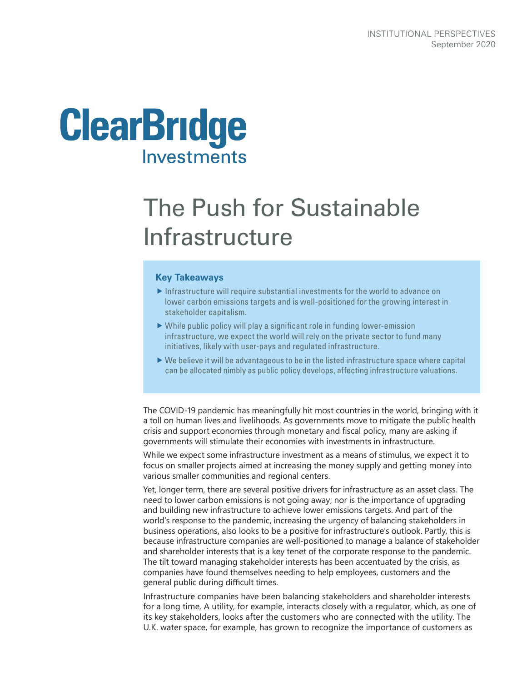

# The Push for Sustainable Infrastructure

#### **Key Takeaways**

- $\blacktriangleright$  Infrastructure will require substantial investments for the world to advance on lower carbon emissions targets and is well-positioned for the growing interest in stakeholder capitalism.
- $\triangleright$  While public policy will play a significant role in funding lower-emission infrastructure, we expect the world will rely on the private sector to fund many initiatives, likely with user-pays and regulated infrastructure.
- $\triangleright$  We believe it will be advantageous to be in the listed infrastructure space where capital can be allocated nimbly as public policy develops, affecting infrastructure valuations.

The COVID-19 pandemic has meaningfully hit most countries in the world, bringing with it a toll on human lives and livelihoods. As governments move to mitigate the public health crisis and support economies through monetary and fiscal policy, many are asking if governments will stimulate their economies with investments in infrastructure.

While we expect some infrastructure investment as a means of stimulus, we expect it to focus on smaller projects aimed at increasing the money supply and getting money into various smaller communities and regional centers.

Yet, longer term, there are several positive drivers for infrastructure as an asset class. The need to lower carbon emissions is not going away; nor is the importance of upgrading and building new infrastructure to achieve lower emissions targets. And part of the world's response to the pandemic, increasing the urgency of balancing stakeholders in business operations, also looks to be a positive for infrastructure's outlook. Partly, this is because infrastructure companies are well-positioned to manage a balance of stakeholder and shareholder interests that is a key tenet of the corporate response to the pandemic. The tilt toward managing stakeholder interests has been accentuated by the crisis, as companies have found themselves needing to help employees, customers and the general public during difficult times.

Infrastructure companies have been balancing stakeholders and shareholder interests for a long time. A utility, for example, interacts closely with a regulator, which, as one of its key stakeholders, looks after the customers who are connected with the utility. The U.K. water space, for example, has grown to recognize the importance of customers as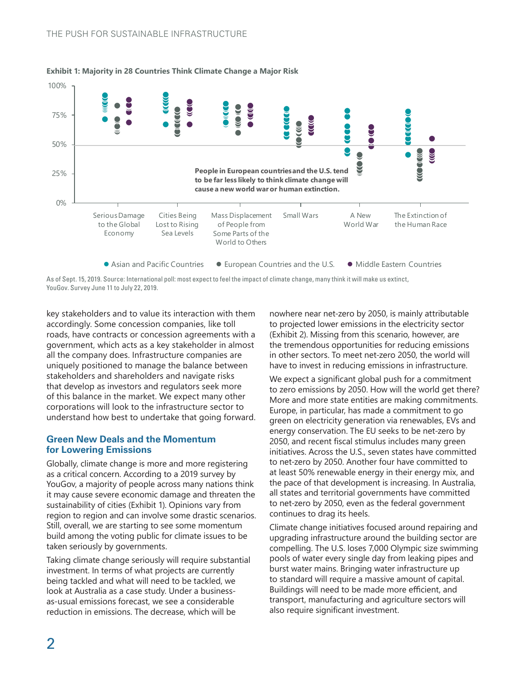

#### **Exhibit 1: Majority in 28 Countries Think Climate Change a Major Risk**

As of Sept. 15, 2019. Source: International poll: most expect to feel the impact of climate change, many think it will make us extinct, YouGov. Survey June 11 to July 22, 2019.

key stakeholders and to value its interaction with them accordingly. Some concession companies, like toll roads, have contracts or concession agreements with a government, which acts as a key stakeholder in almost all the company does. Infrastructure companies are uniquely positioned to manage the balance between stakeholders and shareholders and navigate risks that develop as investors and regulators seek more of this balance in the market. We expect many other corporations will look to the infrastructure sector to understand how best to undertake that going forward.

### **Green New Deals and the Momentum for Lowering Emissions**

Globally, climate change is more and more registering as a critical concern. According to a 2019 survey by YouGov, a majority of people across many nations think it may cause severe economic damage and threaten the sustainability of cities (Exhibit 1). Opinions vary from region to region and can involve some drastic scenarios. Still, overall, we are starting to see some momentum build among the voting public for climate issues to be taken seriously by governments.

Taking climate change seriously will require substantial investment. In terms of what projects are currently being tackled and what will need to be tackled, we look at Australia as a case study. Under a businessas-usual emissions forecast, we see a considerable reduction in emissions. The decrease, which will be

nowhere near net-zero by 2050, is mainly attributable to projected lower emissions in the electricity sector (Exhibit 2). Missing from this scenario, however, are the tremendous opportunities for reducing emissions in other sectors. To meet net-zero 2050, the world will have to invest in reducing emissions in infrastructure.

We expect a significant global push for a commitment to zero emissions by 2050. How will the world get there? More and more state entities are making commitments. Europe, in particular, has made a commitment to go green on electricity generation via renewables, EVs and energy conservation. The EU seeks to be net-zero by 2050, and recent fiscal stimulus includes many green initiatives. Across the U.S., seven states have committed to net-zero by 2050. Another four have committed to at least 50% renewable energy in their energy mix, and the pace of that development is increasing. In Australia, all states and territorial governments have committed to net-zero by 2050, even as the federal government continues to drag its heels.

Climate change initiatives focused around repairing and upgrading infrastructure around the building sector are compelling. The U.S. loses 7,000 Olympic size swimming pools of water every single day from leaking pipes and burst water mains. Bringing water infrastructure up to standard will require a massive amount of capital. Buildings will need to be made more efficient, and transport, manufacturing and agriculture sectors will also require significant investment.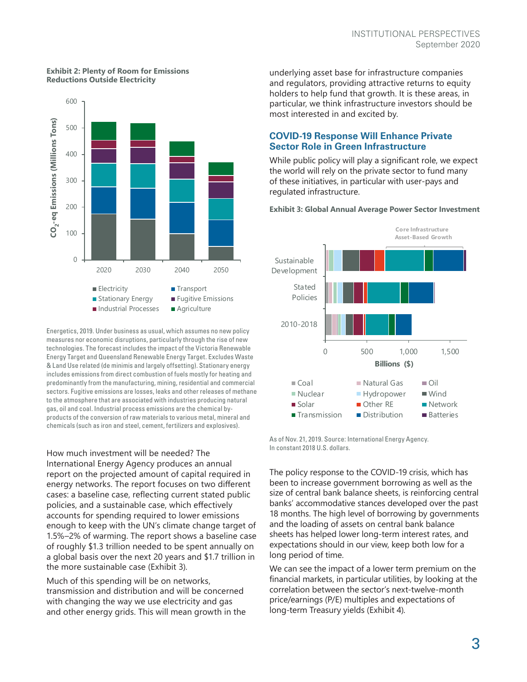#### **Exhibit 2: Plenty of Room for Emissions Reductions Outside Electricity**



Energetics, 2019. Under business as usual, which assumes no new policy measures nor economic disruptions, particularly through the rise of new technologies. The forecast includes the impact of the Victoria Renewable Energy Target and Queensland Renewable Energy Target. Excludes Waste & Land Use related (de minimis and largely offsetting). Stationary energy includes emissions from direct combustion of fuels mostly for heating and predominantly from the manufacturing, mining, residential and commercial sectors. Fugitive emissions are losses, leaks and other releases of methane to the atmosphere that are associated with industries producing natural gas, oil and coal. Industrial process emissions are the chemical byproducts of the conversion of raw materials to various metal, mineral and

How much investment will be needed? The International Energy Agency produces an annual report on the projected amount of capital required in energy networks. The report focuses on two different cases: a baseline case, reflecting current stated public policies, and a sustainable case, which effectively accounts for spending required to lower emissions enough to keep with the UN's climate change target of 1.5%–2% of warming. The report shows a baseline case of roughly \$1.3 trillion needed to be spent annually on a global basis over the next 20 years and \$1.7 trillion in the more sustainable case (Exhibit 3).

Much of this spending will be on networks, transmission and distribution and will be concerned with changing the way we use electricity and gas and other energy grids. This will mean growth in the underlying asset base for infrastructure companies and regulators, providing attractive returns to equity holders to help fund that growth. It is these areas, in particular, we think infrastructure investors should be most interested in and excited by.

## **COVID-19 Response Will Enhance Private Sector Role in Green Infrastructure**

While public policy will play a significant role, we expect the world will rely on the private sector to fund many of these initiatives, in particular with user-pays and regulated infrastructure.

**Exhibit 3: Global Annual Average Power Sector Investment**



As of Nov. 21, 2019. Source: International Energy Agency. In constant 2018 U.S. dollars.

The policy response to the COVID-19 crisis, which has been to increase government borrowing as well as the size of central bank balance sheets, is reinforcing central banks' accommodative stances developed over the past 18 months. The high level of borrowing by governments and the loading of assets on central bank balance sheets has helped lower long-term interest rates, and expectations should in our view, keep both low for a long period of time.

We can see the impact of a lower term premium on the financial markets, in particular utilities, by looking at the correlation between the sector's next-twelve-month price/earnings (P/E) multiples and expectations of long-term Treasury yields (Exhibit 4).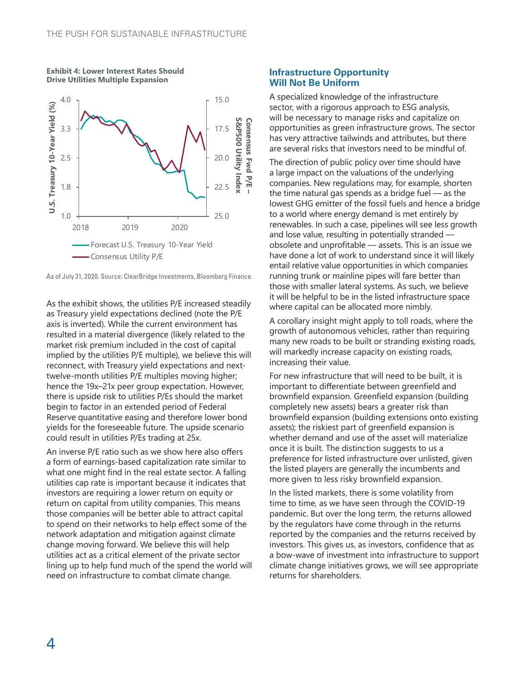

**Exhibit 4: Lower Interest Rates Should Drive Utilities Multiple Expansion**



As the exhibit shows, the utilities P/E increased steadily as Treasury yield expectations declined (note the P/E axis is inverted). While the current environment has resulted in a material divergence (likely related to the market risk premium included in the cost of capital implied by the utilities P/E multiple), we believe this will reconnect, with Treasury yield expectations and nexttwelve-month utilities P/E multiples moving higher; hence the 19x–21x peer group expectation. However, there is upside risk to utilities P/Es should the market begin to factor in an extended period of Federal Reserve quantitative easing and therefore lower bond yields for the foreseeable future. The upside scenario could result in utilities P/Es trading at 25x.

An inverse P/E ratio such as we show here also offers a form of earnings-based capitalization rate similar to what one might find in the real estate sector. A falling utilities cap rate is important because it indicates that investors are requiring a lower return on equity or return on capital from utility companies. This means those companies will be better able to attract capital to spend on their networks to help effect some of the network adaptation and mitigation against climate change moving forward. We believe this will help utilities act as a critical element of the private sector lining up to help fund much of the spend the world will need on infrastructure to combat climate change.

### **Infrastructure Opportunity Will Not Be Uniform**

A specialized knowledge of the infrastructure sector, with a rigorous approach to ESG analysis, will be necessary to manage risks and capitalize on opportunities as green infrastructure grows. The sector has very attractive tailwinds and attributes, but there are several risks that investors need to be mindful of.

The direction of public policy over time should have a large impact on the valuations of the underlying companies. New regulations may, for example, shorten the time natural gas spends as a bridge fuel — as the lowest GHG emitter of the fossil fuels and hence a bridge to a world where energy demand is met entirely by renewables. In such a case, pipelines will see less growth and lose value, resulting in potentially stranded obsolete and unprofitable — assets. This is an issue we have done a lot of work to understand since it will likely entail relative value opportunities in which companies running trunk or mainline pipes will fare better than those with smaller lateral systems. As such, we believe it will be helpful to be in the listed infrastructure space where capital can be allocated more nimbly.

A corollary insight might apply to toll roads, where the growth of autonomous vehicles, rather than requiring many new roads to be built or stranding existing roads, will markedly increase capacity on existing roads, increasing their value.

For new infrastructure that will need to be built, it is important to differentiate between greenfield and brownfield expansion. Greenfield expansion (building completely new assets) bears a greater risk than brownfield expansion (building extensions onto existing assets); the riskiest part of greenfield expansion is whether demand and use of the asset will materialize once it is built. The distinction suggests to us a preference for listed infrastructure over unlisted, given the listed players are generally the incumbents and more given to less risky brownfield expansion.

In the listed markets, there is some volatility from time to time, as we have seen through the COVID-19 pandemic. But over the long term, the returns allowed by the regulators have come through in the returns reported by the companies and the returns received by investors. This gives us, as investors, confidence that as a bow-wave of investment into infrastructure to support climate change initiatives grows, we will see appropriate returns for shareholders.